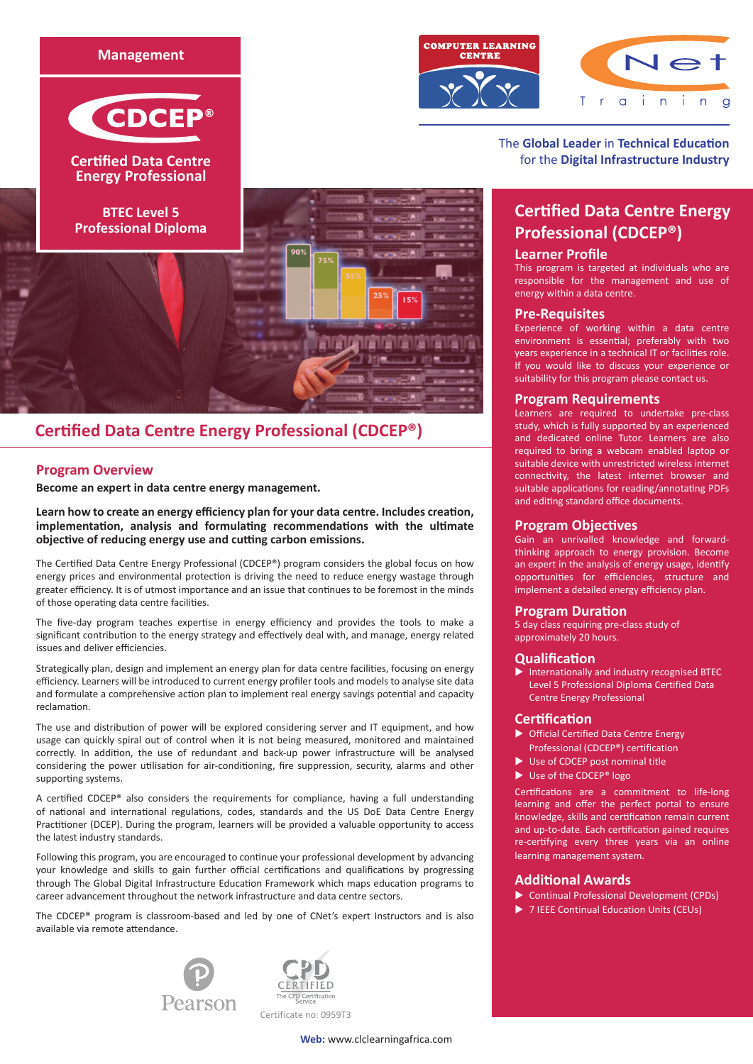



# **Certified Data Centre Energy Professional (CDCEP®)**

# **Program Overview**

**Become an expert in data centre energy management.** 

**Learn how to create an energy efficiency plan for your data centre. Includes creation, implementation, analysis and formulating recommendations with the ultimate objective of reducing energy use and cutting carbon emissions.**

The Certified Data Centre Energy Professional (CDCEP®) program considers the global focus on how energy prices and environmental protection is driving the need to reduce energy wastage through greater efficiency. It is of utmost importance and an issue that continues to be foremost in the minds of those operating data centre facilities.

The five-day program teaches expertise in energy efficiency and provides the tools to make a significant contribution to the energy strategy and effectively deal with, and manage, energy related issues and deliver efficiencies.

Strategically plan, design and implement an energy plan for data centre facilities, focusing on energy efficiency. Learners will be introduced to current energy profiler tools and models to analyse site data and formulate a comprehensive action plan to implement real energy savings potential and capacity reclamation.

The use and distribution of power will be explored considering server and IT equipment, and how usage can quickly spiral out of control when it is not being measured, monitored and maintained correctly. In addition, the use of redundant and back-up power infrastructure will be analysed considering the power utilisation for air-conditioning, fire suppression, security, alarms and other supporting systems.

A certified CDCEP® also considers the requirements for compliance, having a full understanding of national and international regulations, codes, standards and the US DoE Data Centre Energy Practitioner (DCEP). During the program, learners will be provided a valuable opportunity to access the latest industry standards.

Following this program, you are encouraged to continue your professional development by advancing your knowledge and skills to gain further official certifications and qualifications by progressing through The Global Digital Infrastructure Education Framework which maps education programs to career advancement throughout the network infrastructure and data centre sectors.

The CDCEP® program is classroom-based and led by one of CNet's expert Instructors and is also available via remote attendance.





Certificate no: 0959T3





The **Global Leader** in **Technical Education** for the **Digital Infrastructure Industry**

# **Certified Data Centre Energy Professional (CDCEP®)**

# **Learner Profile**

This program is targeted at individuals who are responsible for the management and use of energy within a data centre.

## **Pre-Requisites**

Experience of working within a data centre environment is essential; preferably with two years experience in a technical IT or facilities role. If you would like to discuss your experience or suitability for this program please contact us.

## **Program Requirements**

Learners are required to undertake pre-class study, which is fully supported by an experienced and dedicated online Tutor. Learners are also required to bring a webcam enabled laptop or suitable device with unrestricted wireless internet connectivity, the latest internet browser and suitable applications for reading/annotating PDFs and editing standard office documents.

## **Program Objectives**

Gain an unrivalled knowledge and forwardthinking approach to energy provision. Become an expert in the analysis of energy usage, identify opportunities for efficiencies, structure and implement a detailed energy efficiency plan.

# **Program Duration**

5 day class requiring pre-class study of approximately 20 hours.

# **Qualification**

 $\blacktriangleright$  Internationally and industry recognised BTEC Level 5 Professional Diploma Certified Data Centre Energy Professional

# **Certification**

- $\triangleright$  Official Certified Data Centre Energy Professional (CDCEP®) certification
- $\blacktriangleright$  Use of CDCEP post nominal title
- $\blacktriangleright$  Use of the CDCEP® logo

Certifications are a commitment to life-long learning and offer the perfect portal to ensure knowledge, skills and certification remain current and up-to-date. Each certification gained requires re-certifying every three years via an online learning management system.

# **Additional Awards**

- Continual Professional Development (CPDs)
- ▶ 7 IEEE Continual Education Units (CEUs)